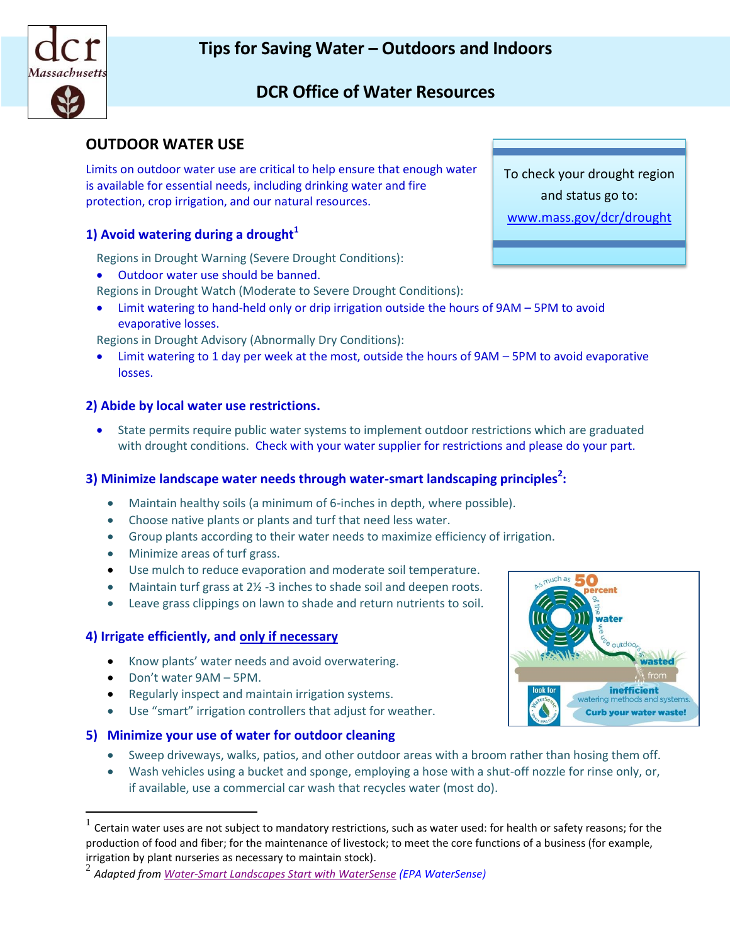

# **OUTDOOR WATER USE**

Limits on outdoor water use are critical to help ensure that enough water is available for essential needs, including drinking water and fire protection, crop irrigation, and our natural resources.

### **1) Avoid watering during a drought<sup>1</sup>**

Regions in Drought Warning (Severe Drought Conditions):

- Outdoor water use should be banned.
- Regions in Drought Watch (Moderate to Severe Drought Conditions):
- Limit watering to hand-held only or drip irrigation outside the hours of 9AM 5PM to avoid evaporative losses.

Regions in Drought Advisory (Abnormally Dry Conditions):

 Limit watering to 1 day per week at the most, outside the hours of 9AM – 5PM to avoid evaporative losses.

#### **2) Abide by local water use restrictions.**

 State permits require public water systems to implement outdoor restrictions which are graduated with drought conditions. Check with your water supplier for restrictions and please do your part.

# **3) Minimize landscape water needs through water-smart landscaping principles<sup>2</sup> :**

- Maintain healthy soils (a minimum of 6-inches in depth, where possible).
- Choose native plants or plants and turf that need less water.
- Group plants according to their water needs to maximize efficiency of irrigation.
- Minimize areas of turf grass.
- Use mulch to reduce evaporation and moderate soil temperature.
- Maintain turf grass at 2<sup>1</sup>/<sub>2</sub> -3 inches to shade soil and deepen roots.
- Leave grass clippings on lawn to shade and return nutrients to soil.

#### **4) Irrigate efficiently, and only if necessary**

- Know plants' water needs and avoid overwatering.
- Don't water 9AM 5PM.

 $\overline{a}$ 

- Regularly inspect and maintain irrigation systems.
- Use "smart" irrigation controllers that adjust for weather.
- **5) Minimize your use of water for outdoor cleaning**
	- Sweep driveways, walks, patios, and other outdoor areas with a broom rather than hosing them off.
	- Wash vehicles using a bucket and sponge, employing a hose with a shut-off nozzle for rinse only, or, if available, use a commercial car wash that recycles water (most do).



To check your drought region and status go to: [www.mass.gov/dcr/drought](http://www.mass.gov/dcr/drought)



<sup>1</sup> Certain water uses are not subject to mandatory restrictions, such as water used: for health or safety reasons; for the production of food and fiber; for the maintenance of livestock; to meet the core functions of a business (for example, irrigation by plant nurseries as necessary to maintain stock).

<sup>2</sup> *Adapted fro[m Water-Smart Landscapes Start with WaterSense](http://www.epa.gov/watersense/outdoor/landscaping_tips.html) (EPA WaterSense)*